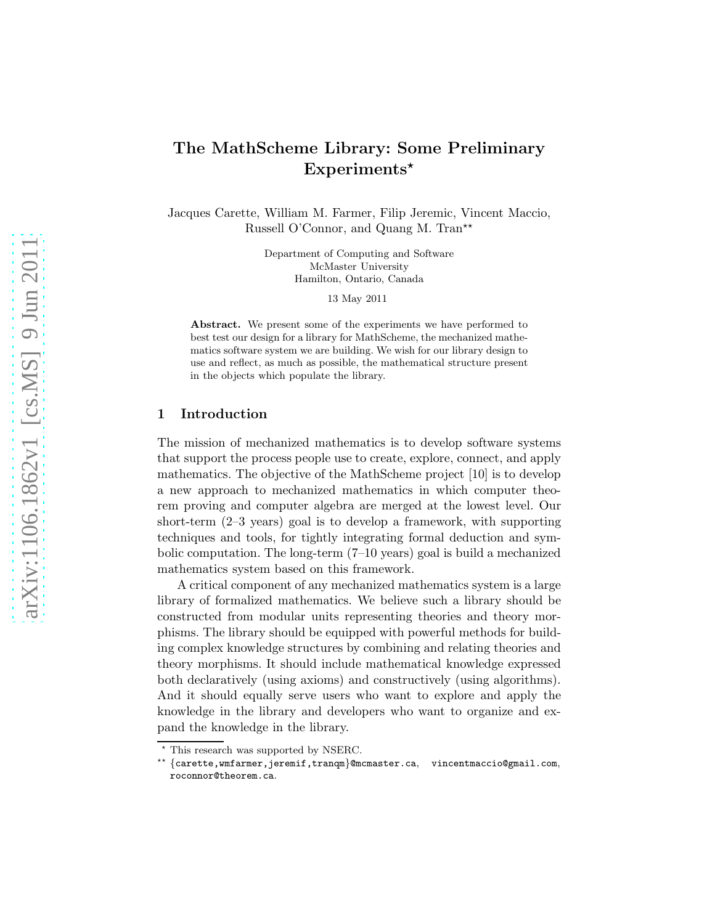# The MathScheme Library: Some Preliminary  $Experiments*$

Jacques Carette, William M. Farmer, Filip Jeremic, Vincent Maccio, Russell O'Connor, and Quang M. Tran<sup>\*\*</sup>

> Department of Computing and Software McMaster University Hamilton, Ontario, Canada

> > 13 May 2011

Abstract. We present some of the experiments we have performed to best test our design for a library for MathScheme, the mechanized mathematics software system we are building. We wish for our library design to use and reflect, as much as possible, the mathematical structure present in the objects which populate the library.

# 1 Introduction

The mission of mechanized mathematics is to develop software systems that support the process people use to create, explore, connect, and apply mathematics. The objective of the MathScheme project [10] is to develop a new approach to mechanized mathematics in which computer theorem proving and computer algebra are merged at the lowest level. Our short-term (2–3 years) goal is to develop a framework, with supporting techniques and tools, for tightly integrating formal deduction and symbolic computation. The long-term  $(7-10 \text{ years})$  goal is build a mechanized mathematics system based on this framework.

A critical component of any mechanized mathematics system is a large library of formalized mathematics. We believe such a library should be constructed from modular units representing theories and theory morphisms. The library should be equipped with powerful methods for building complex knowledge structures by combining and relating theories and theory morphisms. It should include mathematical knowledge expressed both declaratively (using axioms) and constructively (using algorithms). And it should equally serve users who want to explore and apply the knowledge in the library and developers who want to organize and expand the knowledge in the library.

 $^{\star}$  This research was supported by NSERC.

<sup>⋆⋆</sup> {carette,wmfarmer,jeremif,tranqm}@mcmaster.ca, vincentmaccio@gmail.com, roconnor@theorem.ca.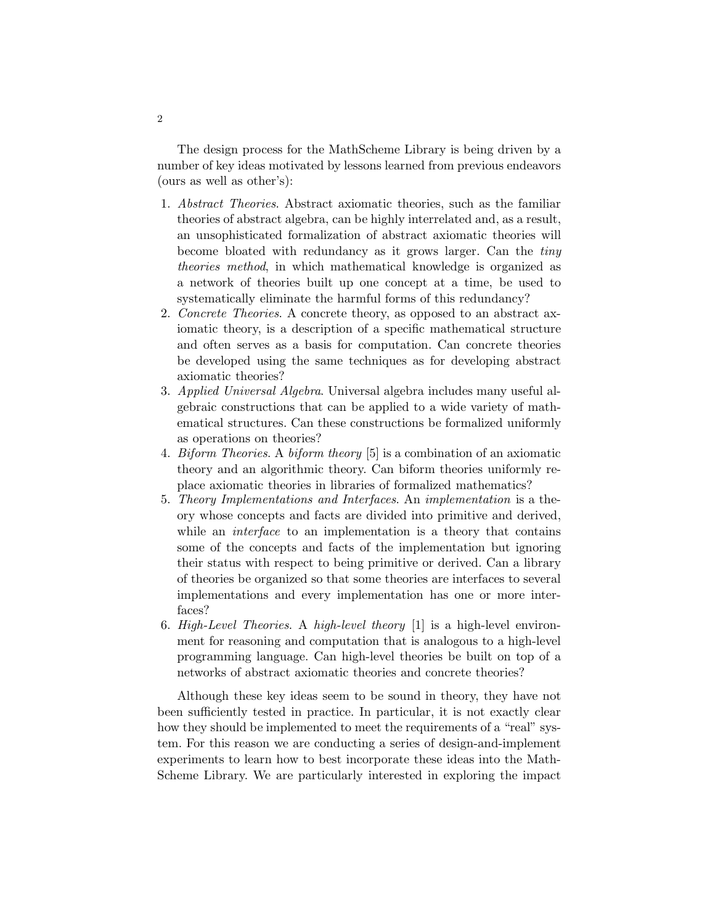The design process for the MathScheme Library is being driven by a number of key ideas motivated by lessons learned from previous endeavors (ours as well as other's):

- 1. Abstract Theories. Abstract axiomatic theories, such as the familiar theories of abstract algebra, can be highly interrelated and, as a result, an unsophisticated formalization of abstract axiomatic theories will become bloated with redundancy as it grows larger. Can the tiny theories method, in which mathematical knowledge is organized as a network of theories built up one concept at a time, be used to systematically eliminate the harmful forms of this redundancy?
- 2. Concrete Theories. A concrete theory, as opposed to an abstract axiomatic theory, is a description of a specific mathematical structure and often serves as a basis for computation. Can concrete theories be developed using the same techniques as for developing abstract axiomatic theories?
- 3. Applied Universal Algebra. Universal algebra includes many useful algebraic constructions that can be applied to a wide variety of mathematical structures. Can these constructions be formalized uniformly as operations on theories?
- 4. Biform Theories. A biform theory [5] is a combination of an axiomatic theory and an algorithmic theory. Can biform theories uniformly replace axiomatic theories in libraries of formalized mathematics?
- 5. Theory Implementations and Interfaces. An implementation is a theory whose concepts and facts are divided into primitive and derived, while an *interface* to an implementation is a theory that contains some of the concepts and facts of the implementation but ignoring their status with respect to being primitive or derived. Can a library of theories be organized so that some theories are interfaces to several implementations and every implementation has one or more interfaces?
- 6. High-Level Theories. A high-level theory [1] is a high-level environment for reasoning and computation that is analogous to a high-level programming language. Can high-level theories be built on top of a networks of abstract axiomatic theories and concrete theories?

Although these key ideas seem to be sound in theory, they have not been sufficiently tested in practice. In particular, it is not exactly clear how they should be implemented to meet the requirements of a "real" system. For this reason we are conducting a series of design-and-implement experiments to learn how to best incorporate these ideas into the Math-Scheme Library. We are particularly interested in exploring the impact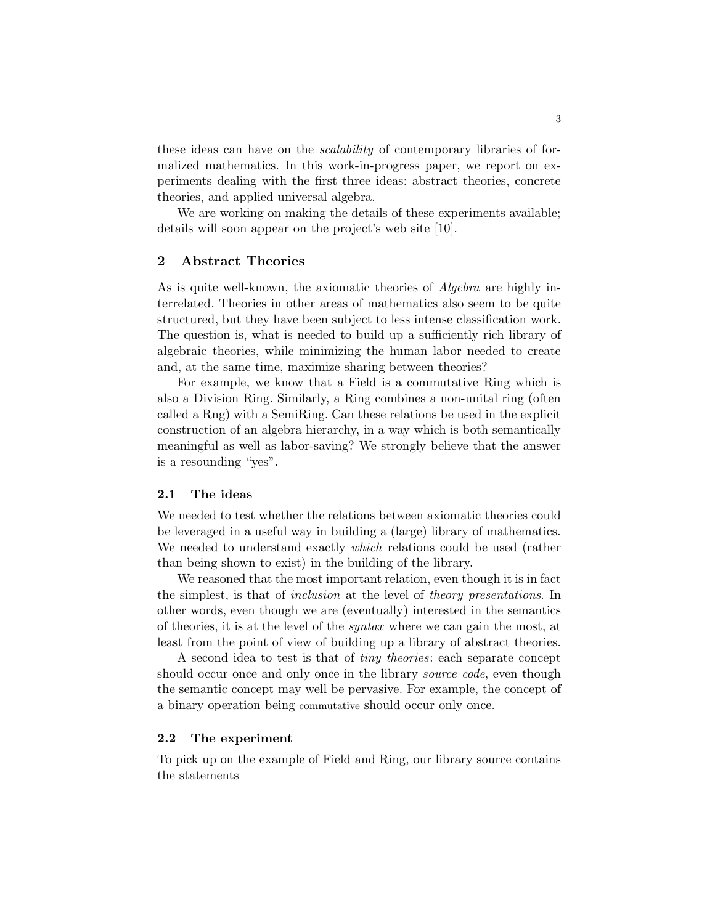these ideas can have on the scalability of contemporary libraries of formalized mathematics. In this work-in-progress paper, we report on experiments dealing with the first three ideas: abstract theories, concrete theories, and applied universal algebra.

We are working on making the details of these experiments available; details will soon appear on the project's web site [10].

# 2 Abstract Theories

As is quite well-known, the axiomatic theories of Algebra are highly interrelated. Theories in other areas of mathematics also seem to be quite structured, but they have been subject to less intense classification work. The question is, what is needed to build up a sufficiently rich library of algebraic theories, while minimizing the human labor needed to create and, at the same time, maximize sharing between theories?

For example, we know that a Field is a commutative Ring which is also a Division Ring. Similarly, a Ring combines a non-unital ring (often called a Rng) with a SemiRing. Can these relations be used in the explicit construction of an algebra hierarchy, in a way which is both semantically meaningful as well as labor-saving? We strongly believe that the answer is a resounding "yes".

#### 2.1 The ideas

We needed to test whether the relations between axiomatic theories could be leveraged in a useful way in building a (large) library of mathematics. We needed to understand exactly *which* relations could be used (rather than being shown to exist) in the building of the library.

We reasoned that the most important relation, even though it is in fact the simplest, is that of inclusion at the level of theory presentations. In other words, even though we are (eventually) interested in the semantics of theories, it is at the level of the syntax where we can gain the most, at least from the point of view of building up a library of abstract theories.

A second idea to test is that of tiny theories: each separate concept should occur once and only once in the library *source code*, even though the semantic concept may well be pervasive. For example, the concept of a binary operation being commutative should occur only once.

#### 2.2 The experiment

To pick up on the example of Field and Ring, our library source contains the statements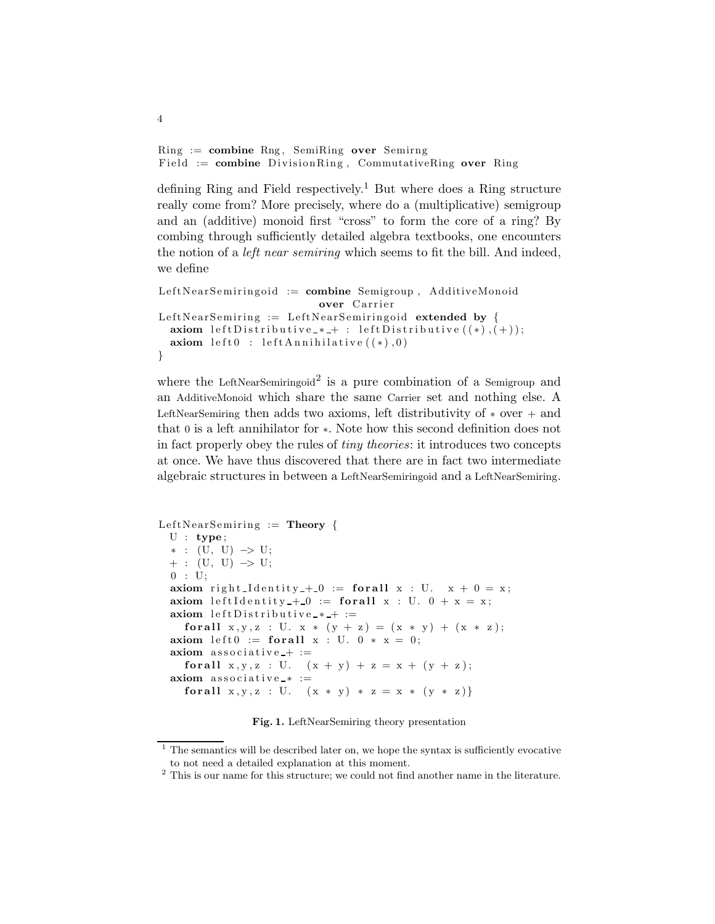$Ring := combine Rng$ , SemiRing over Semirng Field := combine DivisionRing, CommutativeRing over Ring

4

defining Ring and Field respectively.<sup>1</sup> But where does a Ring structure really come from? More precisely, where do a (multiplicative) semigroup and an (additive) monoid first "cross" to form the core of a ring? By combing through sufficiently detailed algebra textbooks, one encounters the notion of a left near semiring which seems to fit the bill. And indeed, we define

```
LeftNearSemiringoid := combine Semigroup, AdditiveMonoid
                           over Carrier
LeftNearSemiring := LeftNearSemiringoid extended by {
  axiom leftDistributive * + : leftDistributive ((*), (+);
  axiom left  0 : left A n n i h i la t i v e ((*) , 0)}
```
where the LeftNearSemiringoid<sup>2</sup> is a pure combination of a Semigroup and an AdditiveMonoid which share the same Carrier set and nothing else. A LeftNearSemiring then adds two axioms, left distributivity of  $*$  over  $+$  and that 0 is a left annihilator for ∗. Note how this second definition does not in fact properly obey the rules of tiny theories: it introduces two concepts at once. We have thus discovered that there are in fact two intermediate algebraic structures in between a LeftNearSemiringoid and a LeftNearSemiring.

```
LeftNearSemiring := Theory {
  U : type;∗ : (U, U) −> U;
  + : (U, U) \rightarrow U;
  0 : U;axiom right Identity +0 := for all x : U. x + 0 = x;
  axiom left I d entity +0 := for all x : U. 0 + x = x;
  axiom left Distributive * + :=for all x, y, z : U. x * (y + z) = (x * y) + (x * z);axiom left0 := for all x : U. 0 * x = 0;
  axiom \text{associative} + :=
    for all x, y, z : U. (x + y) + z = x + (y + z);axiom associative * :=for all x, y, z : U. (x * y) * z = x * (y * z)
```
Fig. 1. LeftNearSemiring theory presentation

<sup>1</sup> The semantics will be described later on, we hope the syntax is sufficiently evocative to not need a detailed explanation at this moment.

 $^{\rm 2}$  This is our name for this structure; we could not find another name in the literature.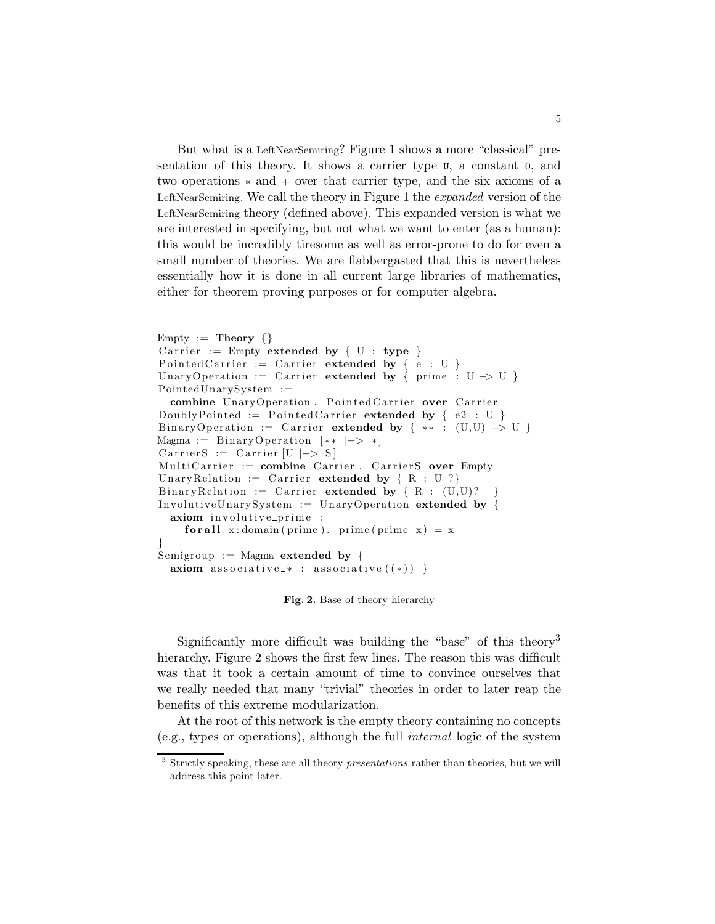But what is a LeftNearSemiring? Figure 1 shows a more "classical" presentation of this theory. It shows a carrier type U, a constant 0, and two operations ∗ and + over that carrier type, and the six axioms of a LeftNearSemiring. We call the theory in Figure 1 the *expanded* version of the LeftNearSemiring theory (defined above). This expanded version is what we are interested in specifying, but not what we want to enter (as a human): this would be incredibly tiresome as well as error-prone to do for even a small number of theories. We are flabbergasted that this is nevertheless essentially how it is done in all current large libraries of mathematics, either for theorem proving purposes or for computer algebra.

```
Empty := Theory \{\}Carrier := Empty extended by \{ U : type \}Pointed Carrier := Carrier extended by \{e : U\}UnaryOperation := Carrier extended by { prime : U -> U }
PointedUnarySystem :=
  combine UnaryOperation, PointedCarrier over Carrier
DoublyPointed := Pointed Carrier extended by \{e2 : U\}BinaryOperation := Carrier extended by { ** : (U,U) \rightarrow U }
Magma := BinaryOperation [**|->*]Carrier S := Carrier [U \mid-> S]MultiCarrier := combine Carrier, CarrierS over Empty
UnaryRelation := Carrier extended by \{ R : U \}Binary Relation := Carrier extended by \{ R : (U,U) \}?
InvolutiveUnarySystem := UnaryOperation extended by {
  axiom involutive prime :
    for all x : domain ( prime ). prime ( prime x ) = x
}
Semigroup := Magma extended by {
  axiom associative * : associative ((*) }
```
Fig. 2. Base of theory hierarchy

Significantly more difficult was building the "base" of this theory<sup>3</sup> hierarchy. Figure 2 shows the first few lines. The reason this was difficult was that it took a certain amount of time to convince ourselves that we really needed that many "trivial" theories in order to later reap the benefits of this extreme modularization.

At the root of this network is the empty theory containing no concepts (e.g., types or operations), although the full internal logic of the system

<sup>3</sup> Strictly speaking, these are all theory *presentations* rather than theories, but we will address this point later.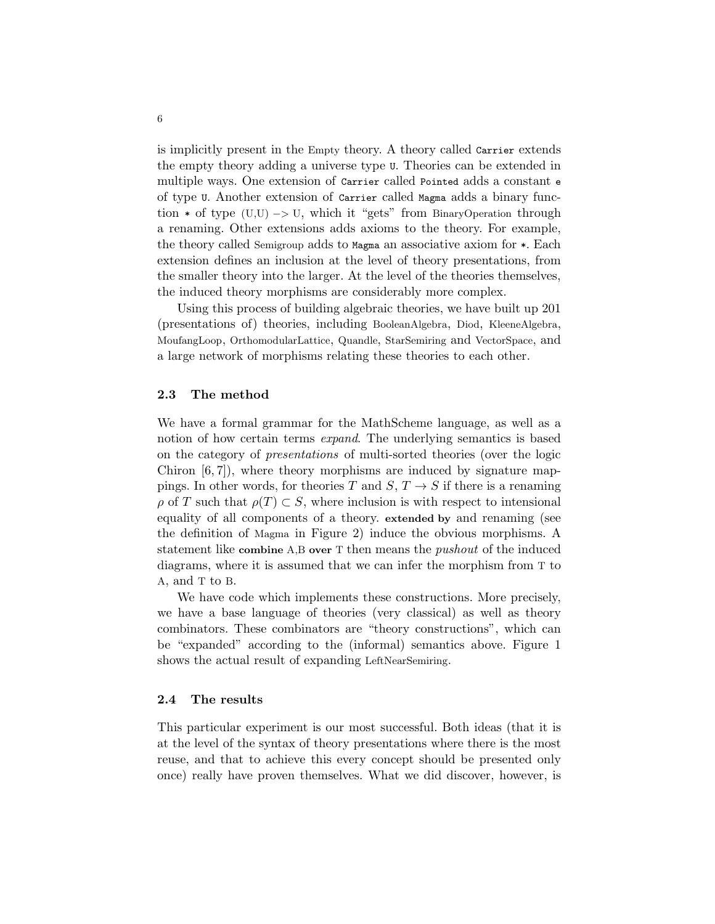is implicitly present in the Empty theory. A theory called Carrier extends the empty theory adding a universe type U. Theories can be extended in multiple ways. One extension of Carrier called Pointed adds a constant e of type U. Another extension of Carrier called Magma adds a binary function  $*$  of type (U,U)  $\rightarrow$  U, which it "gets" from BinaryOperation through a renaming. Other extensions adds axioms to the theory. For example, the theory called Semigroup adds to Magma an associative axiom for \*. Each extension defines an inclusion at the level of theory presentations, from the smaller theory into the larger. At the level of the theories themselves, the induced theory morphisms are considerably more complex.

Using this process of building algebraic theories, we have built up 201 (presentations of) theories, including BooleanAlgebra, Diod, KleeneAlgebra, MoufangLoop, OrthomodularLattice, Quandle, StarSemiring and VectorSpace, and a large network of morphisms relating these theories to each other.

#### 2.3 The method

We have a formal grammar for the MathScheme language, as well as a notion of how certain terms *expand*. The underlying semantics is based on the category of presentations of multi-sorted theories (over the logic Chiron  $[6, 7]$ , where theory morphisms are induced by signature mappings. In other words, for theories T and  $S, T \rightarrow S$  if there is a renaming  $\rho$  of T such that  $\rho(T) \subset S$ , where inclusion is with respect to intensional equality of all components of a theory. extended by and renaming (see the definition of Magma in Figure 2) induce the obvious morphisms. A statement like combine A,B over T then means the pushout of the induced diagrams, where it is assumed that we can infer the morphism from T to A, and T to B.

We have code which implements these constructions. More precisely, we have a base language of theories (very classical) as well as theory combinators. These combinators are "theory constructions", which can be "expanded" according to the (informal) semantics above. Figure 1 shows the actual result of expanding LeftNearSemiring.

#### 2.4 The results

This particular experiment is our most successful. Both ideas (that it is at the level of the syntax of theory presentations where there is the most reuse, and that to achieve this every concept should be presented only once) really have proven themselves. What we did discover, however, is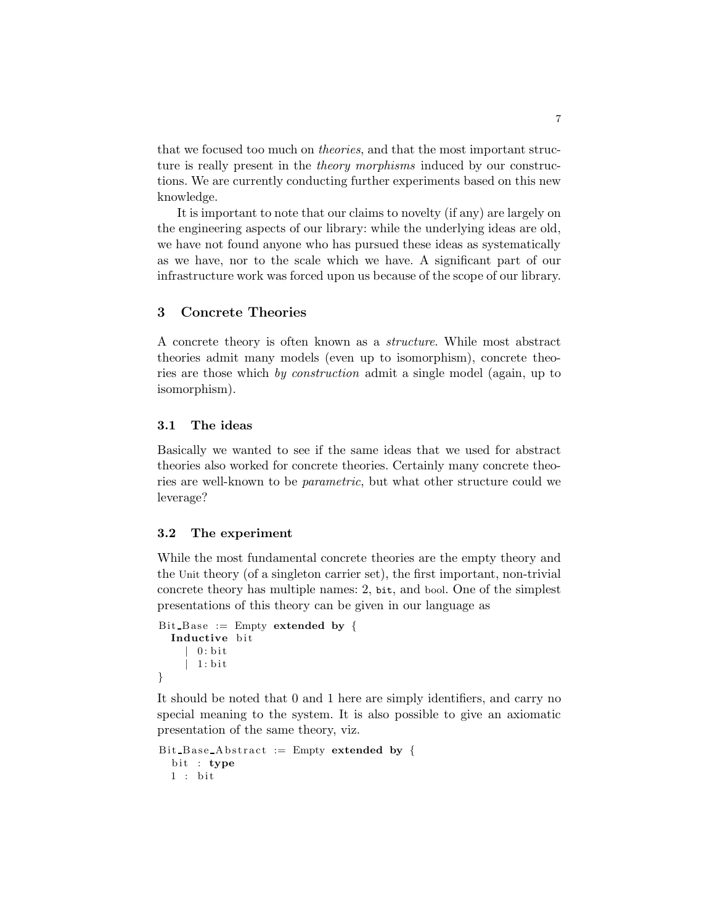that we focused too much on theories, and that the most important structure is really present in the *theory morphisms* induced by our constructions. We are currently conducting further experiments based on this new knowledge.

It is important to note that our claims to novelty (if any) are largely on the engineering aspects of our library: while the underlying ideas are old, we have not found anyone who has pursued these ideas as systematically as we have, nor to the scale which we have. A significant part of our infrastructure work was forced upon us because of the scope of our library.

# 3 Concrete Theories

A concrete theory is often known as a structure. While most abstract theories admit many models (even up to isomorphism), concrete theories are those which by construction admit a single model (again, up to isomorphism).

#### 3.1 The ideas

Basically we wanted to see if the same ideas that we used for abstract theories also worked for concrete theories. Certainly many concrete theories are well-known to be parametric, but what other structure could we leverage?

# 3.2 The experiment

While the most fundamental concrete theories are the empty theory and the Unit theory (of a singleton carrier set), the first important, non-trivial concrete theory has multiple names: 2, bit, and bool. One of the simplest presentations of this theory can be given in our language as

```
Bit Base := Empty extended by {
  Inductive bit
      0: bit
       | 1 : b i t
}
```
It should be noted that 0 and 1 here are simply identifiers, and carry no special meaning to the system. It is also possible to give an axiomatic presentation of the same theory, viz.

```
Bit Base Abstract := Empty extended by {
 bit : type
 1: bit
```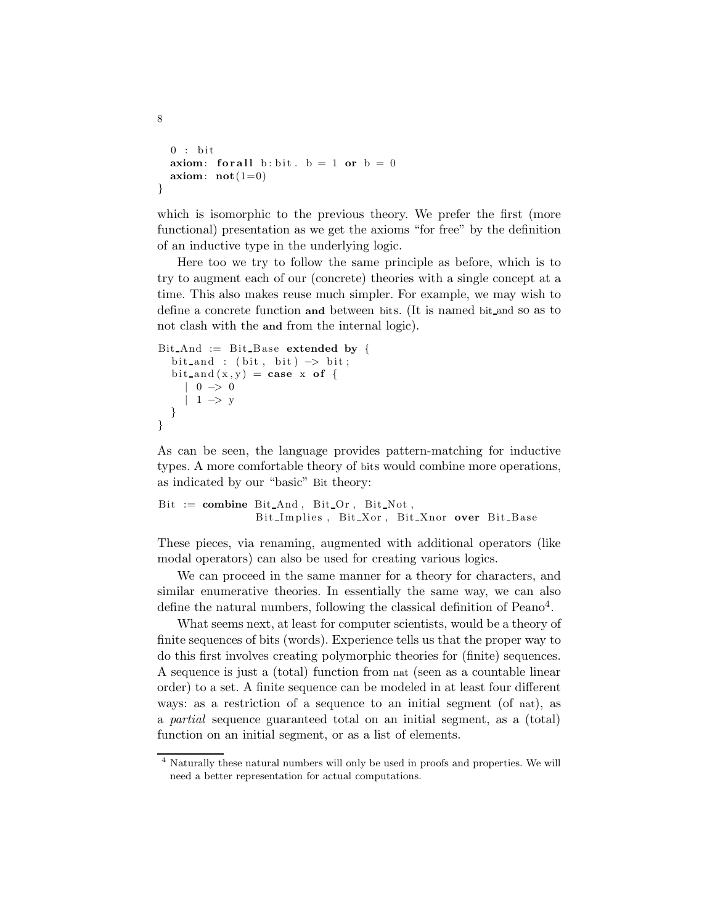```
0 : bitaxiom: for all b: bit . b = 1 or b = 0axiom: \text{not}(1=0)}
```
8

which is isomorphic to the previous theory. We prefer the first (more functional) presentation as we get the axioms "for free" by the definition of an inductive type in the underlying logic.

Here too we try to follow the same principle as before, which is to try to augment each of our (concrete) theories with a single concept at a time. This also makes reuse much simpler. For example, we may wish to define a concrete function and between bits. (It is named bit and so as to not clash with the and from the internal logic).

```
Bit And := Bit Base extended by {
  bit_and : (bit, bit) \rightarrow bit;
  bit and (x, y) = \case x of {
     | 0 \Rightarrow 0| 1 \rightarrow y}
}
```
As can be seen, the language provides pattern-matching for inductive types. A more comfortable theory of bits would combine more operations, as indicated by our "basic" Bit theory:

```
Bit := combine BitAnd, BitOr, BitNot,Bit Implies, Bit Xor, Bit Xnor over Bit Base
```
These pieces, via renaming, augmented with additional operators (like modal operators) can also be used for creating various logics.

We can proceed in the same manner for a theory for characters, and similar enumerative theories. In essentially the same way, we can also define the natural numbers, following the classical definition of Peano<sup>4</sup>.

What seems next, at least for computer scientists, would be a theory of finite sequences of bits (words). Experience tells us that the proper way to do this first involves creating polymorphic theories for (finite) sequences. A sequence is just a (total) function from nat (seen as a countable linear order) to a set. A finite sequence can be modeled in at least four different ways: as a restriction of a sequence to an initial segment (of nat), as a partial sequence guaranteed total on an initial segment, as a (total) function on an initial segment, or as a list of elements.

<sup>4</sup> Naturally these natural numbers will only be used in proofs and properties. We will need a better representation for actual computations.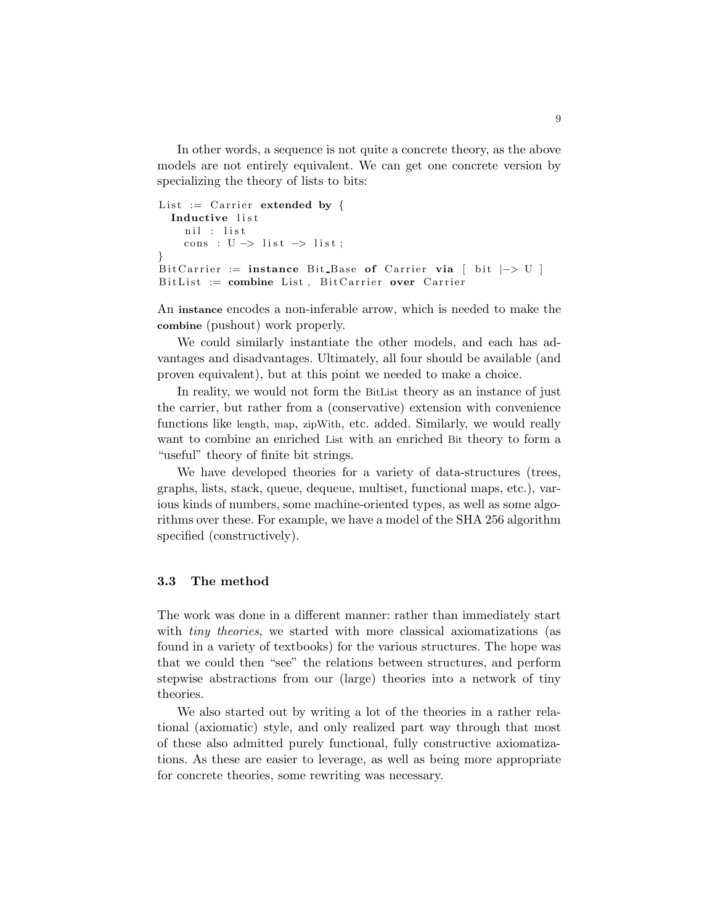In other words, a sequence is not quite a concrete theory, as the above models are not entirely equivalent. We can get one concrete version by specializing the theory of lists to bits:

```
List := Carrier extended by {
  Inductive list
    nil : list
    cons : U \rightarrow list \rightarrow list;
}
Bit Carrier := instance Bit Base of Carrier via [ bit |->U|]
Bit List := combine List, Bit Carrier over Carrier
```
An instance encodes a non-inferable arrow, which is needed to make the combine (pushout) work properly.

We could similarly instantiate the other models, and each has advantages and disadvantages. Ultimately, all four should be available (and proven equivalent), but at this point we needed to make a choice.

In reality, we would not form the BitList theory as an instance of just the carrier, but rather from a (conservative) extension with convenience functions like length, map, zipWith, etc. added. Similarly, we would really want to combine an enriched List with an enriched Bit theory to form a "useful" theory of finite bit strings.

We have developed theories for a variety of data-structures (trees, graphs, lists, stack, queue, dequeue, multiset, functional maps, etc.), various kinds of numbers, some machine-oriented types, as well as some algorithms over these. For example, we have a model of the SHA 256 algorithm specified (constructively).

#### 3.3 The method

The work was done in a different manner: rather than immediately start with *tiny theories*, we started with more classical axiomatizations (as found in a variety of textbooks) for the various structures. The hope was that we could then "see" the relations between structures, and perform stepwise abstractions from our (large) theories into a network of tiny theories.

We also started out by writing a lot of the theories in a rather relational (axiomatic) style, and only realized part way through that most of these also admitted purely functional, fully constructive axiomatizations. As these are easier to leverage, as well as being more appropriate for concrete theories, some rewriting was necessary.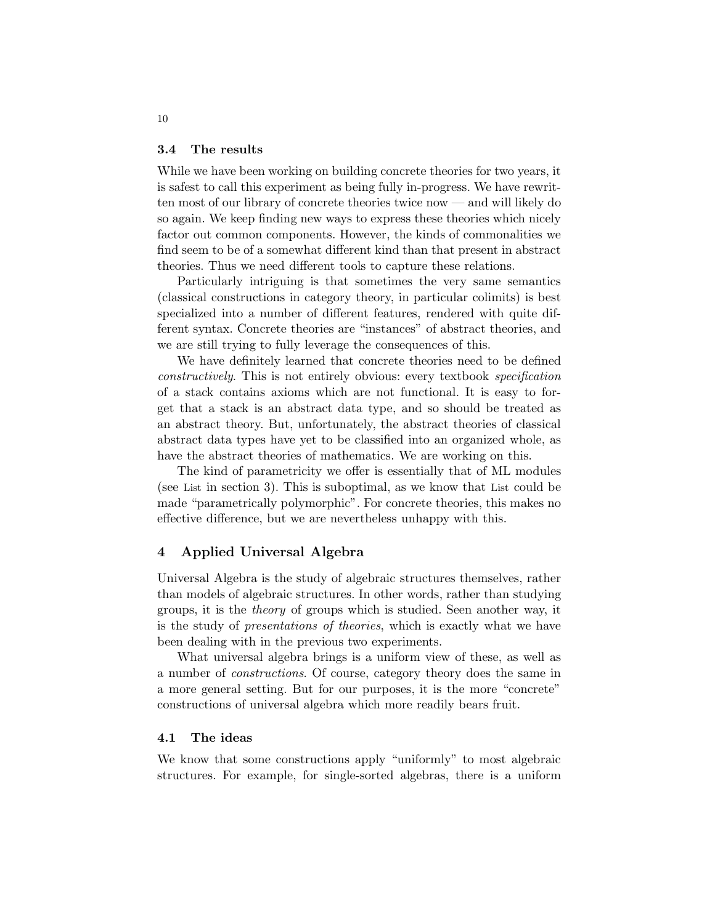#### 3.4 The results

While we have been working on building concrete theories for two years, it is safest to call this experiment as being fully in-progress. We have rewritten most of our library of concrete theories twice now — and will likely do so again. We keep finding new ways to express these theories which nicely factor out common components. However, the kinds of commonalities we find seem to be of a somewhat different kind than that present in abstract theories. Thus we need different tools to capture these relations.

Particularly intriguing is that sometimes the very same semantics (classical constructions in category theory, in particular colimits) is best specialized into a number of different features, rendered with quite different syntax. Concrete theories are "instances" of abstract theories, and we are still trying to fully leverage the consequences of this.

We have definitely learned that concrete theories need to be defined constructively. This is not entirely obvious: every textbook specification of a stack contains axioms which are not functional. It is easy to forget that a stack is an abstract data type, and so should be treated as an abstract theory. But, unfortunately, the abstract theories of classical abstract data types have yet to be classified into an organized whole, as have the abstract theories of mathematics. We are working on this.

The kind of parametricity we offer is essentially that of ML modules (see List in section 3). This is suboptimal, as we know that List could be made "parametrically polymorphic". For concrete theories, this makes no effective difference, but we are nevertheless unhappy with this.

# 4 Applied Universal Algebra

Universal Algebra is the study of algebraic structures themselves, rather than models of algebraic structures. In other words, rather than studying groups, it is the theory of groups which is studied. Seen another way, it is the study of presentations of theories, which is exactly what we have been dealing with in the previous two experiments.

What universal algebra brings is a uniform view of these, as well as a number of constructions. Of course, category theory does the same in a more general setting. But for our purposes, it is the more "concrete" constructions of universal algebra which more readily bears fruit.

#### 4.1 The ideas

We know that some constructions apply "uniformly" to most algebraic structures. For example, for single-sorted algebras, there is a uniform

10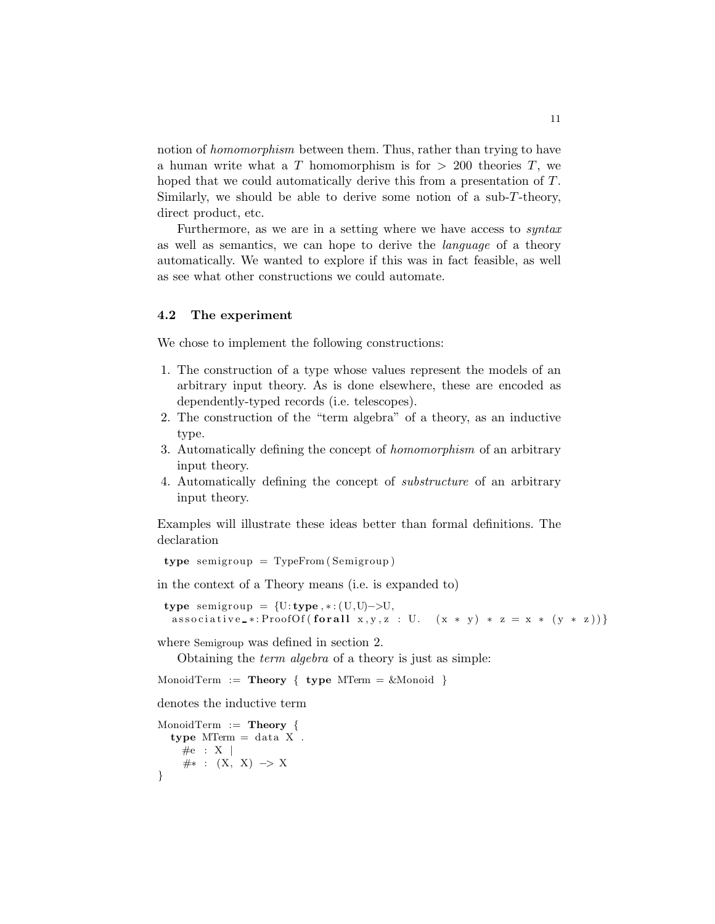notion of *homomorphism* between them. Thus, rather than trying to have a human write what a T homomorphism is for  $> 200$  theories T, we hoped that we could automatically derive this from a presentation of T. Similarly, we should be able to derive some notion of a sub-T-theory, direct product, etc.

Furthermore, as we are in a setting where we have access to syntax as well as semantics, we can hope to derive the language of a theory automatically. We wanted to explore if this was in fact feasible, as well as see what other constructions we could automate.

#### 4.2 The experiment

We chose to implement the following constructions:

- 1. The construction of a type whose values represent the models of an arbitrary input theory. As is done elsewhere, these are encoded as dependently-typed records (i.e. telescopes).
- 2. The construction of the "term algebra" of a theory, as an inductive type.
- 3. Automatically defining the concept of homomorphism of an arbitrary input theory.
- 4. Automatically defining the concept of substructure of an arbitrary input theory.

Examples will illustrate these ideas better than formal definitions. The declaration

type semigroup  $=$  TypeFrom (Semigroup)

in the context of a Theory means (i.e. is expanded to)

type semigroup =  $\{U: \text{type}, *:(U, U) \rightarrow U,$ associative \*: ProofOf(for all  $x, y, z$  : U.  $(x * y) * z = x * (y * z))$ }

where Semigroup was defined in section 2.

Obtaining the term algebra of a theory is just as simple:

```
MonoidTerm := Theory \{ \text{type MTerm} = \& \text{Monoid} \}
```
denotes the inductive term

```
MonoidTerm := Theory {
  type MTerm = data X.
   \#e : X |
   \#* : (X, X) \to X}
```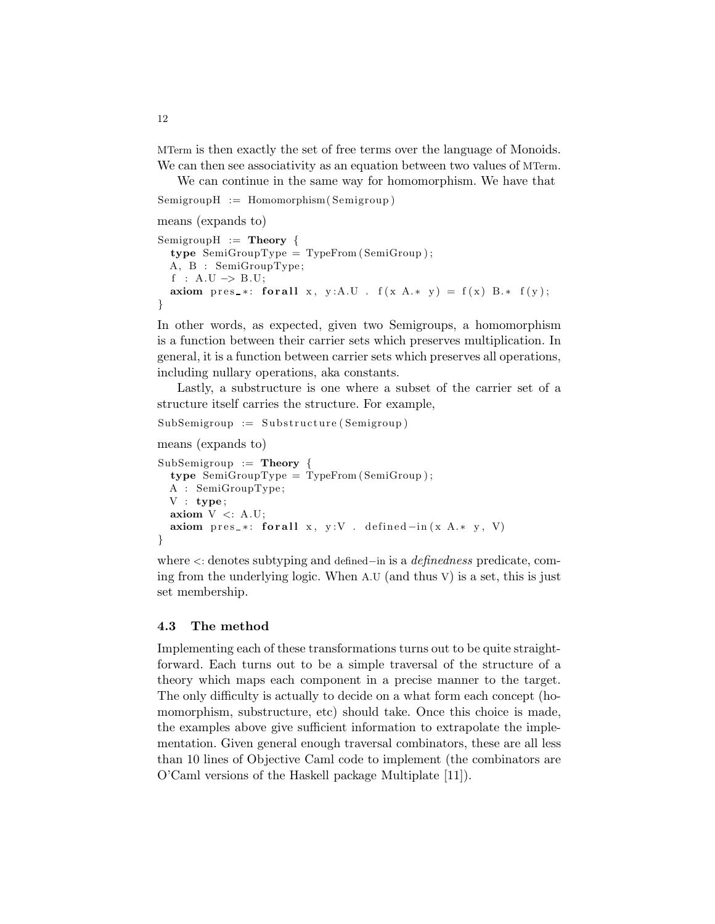MTerm is then exactly the set of free terms over the language of Monoids. We can then see associativity as an equation between two values of MTerm.

We can continue in the same way for homomorphism. We have that  $SemigroupH := Homomorphism(Semigroup)$ 

means (expands to)

```
SemigroupH := Theory {
  type SemiGroupType = TypeFrom ( SemiGroup ) ;
  A, B : SemiGroupType ;
  f : A.U \rightarrow B.U;
  axiom pres_*: for all x, y:A.U . f(x A.* y) = f(x) B.* f(y);}
```
In other words, as expected, given two Semigroups, a homomorphism is a function between their carrier sets which preserves multiplication. In general, it is a function between carrier sets which preserves all operations, including nullary operations, aka constants.

Lastly, a substructure is one where a subset of the carrier set of a structure itself carries the structure. For example,

```
SubSemigroup := Substructure(Semigroup)means (expands to)
SubSemigroup := Theory {
  type SemiGroupType = TypeFrom ( SemiGroup ) ;
  A : SemiGroupType ;
 V : type;axiom V \leq: A.U;axiom pres *: for all x, y:V . defined -in(x A.* y, V)}
```
where <: denotes subtyping and defined−in is a definedness predicate, coming from the underlying logic. When A.U (and thus V) is a set, this is just set membership.

#### 4.3 The method

Implementing each of these transformations turns out to be quite straightforward. Each turns out to be a simple traversal of the structure of a theory which maps each component in a precise manner to the target. The only difficulty is actually to decide on a what form each concept (homomorphism, substructure, etc) should take. Once this choice is made, the examples above give sufficient information to extrapolate the implementation. Given general enough traversal combinators, these are all less than 10 lines of Objective Caml code to implement (the combinators are O'Caml versions of the Haskell package Multiplate [11]).

12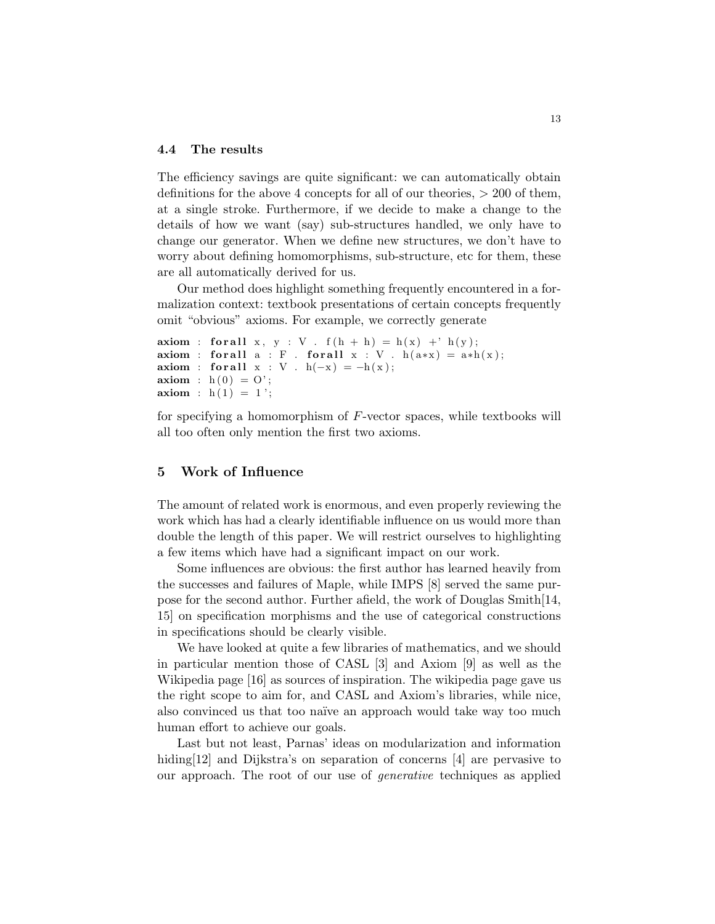#### 4.4 The results

The efficiency savings are quite significant: we can automatically obtain definitions for the above 4 concepts for all of our theories, > 200 of them, at a single stroke. Furthermore, if we decide to make a change to the details of how we want (say) sub-structures handled, we only have to change our generator. When we define new structures, we don't have to worry about defining homomorphisms, sub-structure, etc for them, these are all automatically derived for us.

Our method does highlight something frequently encountered in a formalization context: textbook presentations of certain concepts frequently omit "obvious" axioms. For example, we correctly generate

```
axiom : for all x, y : V. f(h + h) = h(x) + h(y);axiom : for all a : F. for all x : V. h(a*x) = a*h(x);axiom : for all x : V. h(-x) = -h(x);
axiom : h(0) = 0;
axiom : h(1) = 1;
```
for specifying a homomorphism of F-vector spaces, while textbooks will all too often only mention the first two axioms.

# 5 Work of Influence

The amount of related work is enormous, and even properly reviewing the work which has had a clearly identifiable influence on us would more than double the length of this paper. We will restrict ourselves to highlighting a few items which have had a significant impact on our work.

Some influences are obvious: the first author has learned heavily from the successes and failures of Maple, while IMPS [8] served the same purpose for the second author. Further afield, the work of Douglas Smith[14, 15] on specification morphisms and the use of categorical constructions in specifications should be clearly visible.

We have looked at quite a few libraries of mathematics, and we should in particular mention those of CASL [3] and Axiom [9] as well as the Wikipedia page [16] as sources of inspiration. The wikipedia page gave us the right scope to aim for, and CASL and Axiom's libraries, while nice, also convinced us that too naïve an approach would take way too much human effort to achieve our goals.

Last but not least, Parnas' ideas on modularization and information hiding[12] and Dijkstra's on separation of concerns [4] are pervasive to our approach. The root of our use of generative techniques as applied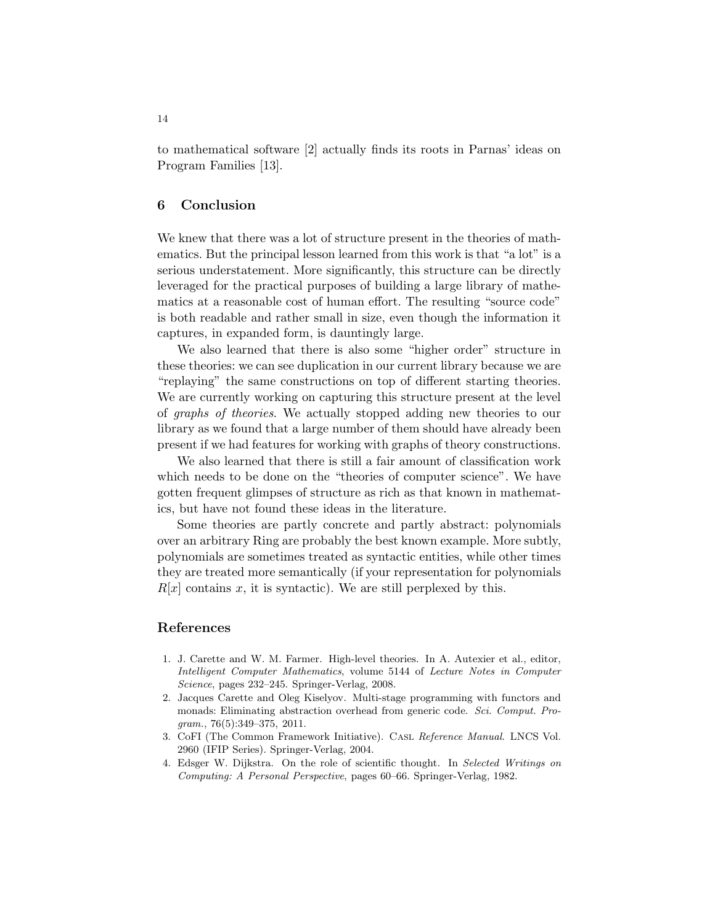to mathematical software [2] actually finds its roots in Parnas' ideas on Program Families [13].

# 6 Conclusion

We knew that there was a lot of structure present in the theories of mathematics. But the principal lesson learned from this work is that "a lot" is a serious understatement. More significantly, this structure can be directly leveraged for the practical purposes of building a large library of mathematics at a reasonable cost of human effort. The resulting "source code" is both readable and rather small in size, even though the information it captures, in expanded form, is dauntingly large.

We also learned that there is also some "higher order" structure in these theories: we can see duplication in our current library because we are "replaying" the same constructions on top of different starting theories. We are currently working on capturing this structure present at the level of graphs of theories. We actually stopped adding new theories to our library as we found that a large number of them should have already been present if we had features for working with graphs of theory constructions.

We also learned that there is still a fair amount of classification work which needs to be done on the "theories of computer science". We have gotten frequent glimpses of structure as rich as that known in mathematics, but have not found these ideas in the literature.

Some theories are partly concrete and partly abstract: polynomials over an arbitrary Ring are probably the best known example. More subtly, polynomials are sometimes treated as syntactic entities, while other times they are treated more semantically (if your representation for polynomials  $R[x]$  contains x, it is syntactic). We are still perplexed by this.

# References

- 1. J. Carette and W. M. Farmer. High-level theories. In A. Autexier et al., editor, *Intelligent Computer Mathematics*, volume 5144 of *Lecture Notes in Computer Science*, pages 232–245. Springer-Verlag, 2008.
- 2. Jacques Carette and Oleg Kiselyov. Multi-stage programming with functors and monads: Eliminating abstraction overhead from generic code. *Sci. Comput. Program.*, 76(5):349–375, 2011.
- 3. CoFI (The Common Framework Initiative). Casl *Reference Manual*. LNCS Vol. 2960 (IFIP Series). Springer-Verlag, 2004.
- 4. Edsger W. Dijkstra. On the role of scientific thought. In *Selected Writings on Computing: A Personal Perspective*, pages 60–66. Springer-Verlag, 1982.